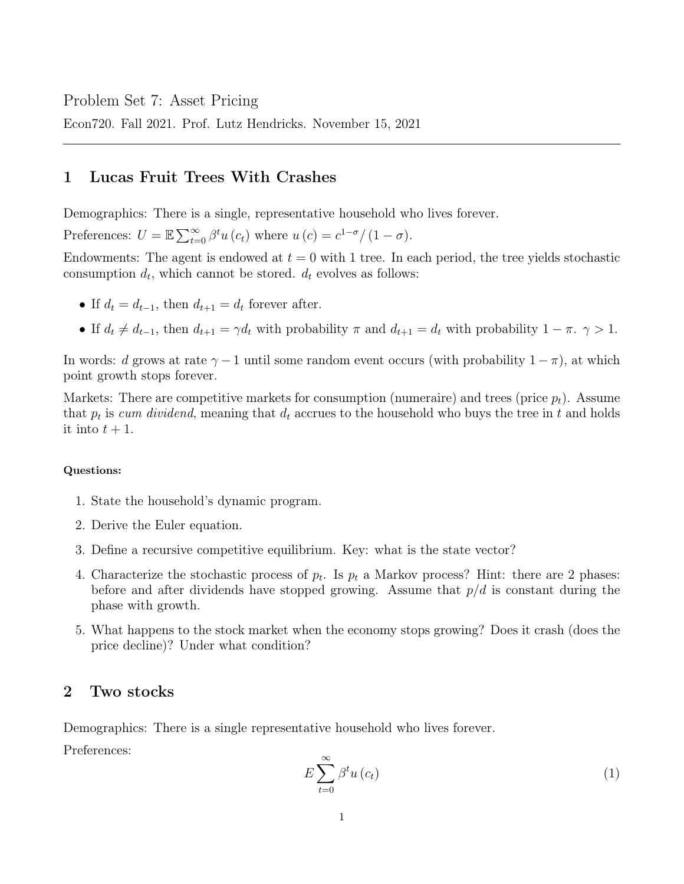Econ720. Fall 2021. Prof. Lutz Hendricks. November 15, 2021

## 1 Lucas Fruit Trees With Crashes

Demographics: There is a single, representative household who lives forever.

Preferences:  $U = \mathbb{E} \sum_{t=0}^{\infty} \beta^t u(c_t)$  where  $u(c) = c^{1-\sigma}/(1-\sigma)$ .

Endowments: The agent is endowed at  $t = 0$  with 1 tree. In each period, the tree yields stochastic consumption  $d_t$ , which cannot be stored.  $d_t$  evolves as follows:

- If  $d_t = d_{t-1}$ , then  $d_{t+1} = d_t$  forever after.
- If  $d_t \neq d_{t-1}$ , then  $d_{t+1} = \gamma d_t$  with probability  $\pi$  and  $d_{t+1} = d_t$  with probability  $1 \pi$ .  $\gamma > 1$ .

In words: d grows at rate  $\gamma - 1$  until some random event occurs (with probability  $1 - \pi$ ), at which point growth stops forever.

Markets: There are competitive markets for consumption (numeraire) and trees (price  $p_t$ ). Assume that  $p_t$  is cum dividend, meaning that  $d_t$  accrues to the household who buys the tree in t and holds it into  $t + 1$ .

## Questions:

- 1. State the household's dynamic program.
- 2. Derive the Euler equation.
- 3. Define a recursive competitive equilibrium. Key: what is the state vector?
- 4. Characterize the stochastic process of  $p_t$ . Is  $p_t$  a Markov process? Hint: there are 2 phases: before and after dividends have stopped growing. Assume that  $p/d$  is constant during the phase with growth.
- 5. What happens to the stock market when the economy stops growing? Does it crash (does the price decline)? Under what condition?

## 2 Two stocks

Demographics: There is a single representative household who lives forever.

Preferences:

$$
E\sum_{t=0}^{\infty} \beta^t u\left(c_t\right) \tag{1}
$$